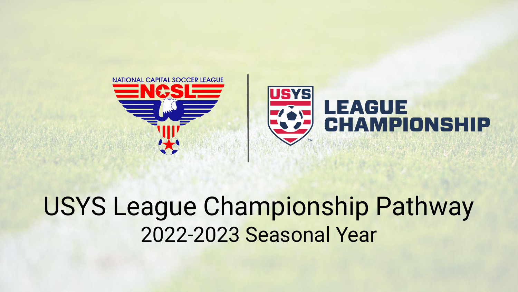

## USYS League Championship Pathway 2022-2023 Seasonal Year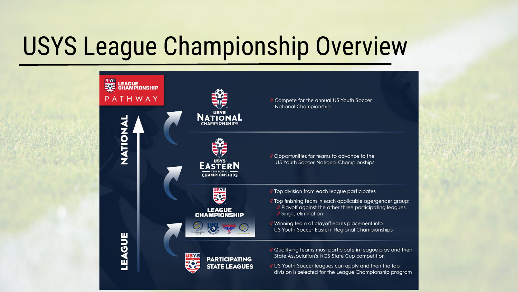# USYS League Championship Overview

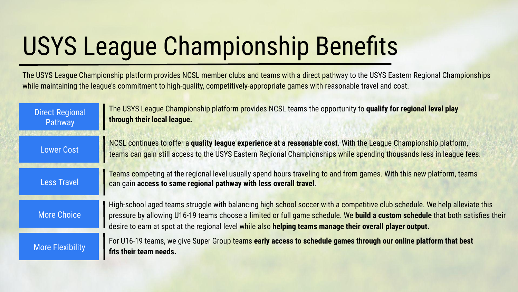# USYS League Championship Benefits

The USYS League Championship platform provides NCSL member clubs and teams with a direct pathway to the USYS Eastern Regional Championships while maintaining the league's commitment to high-quality, competitively-appropriate games with reasonable travel and cost.

| <b>Direct Regional</b><br>Pathway | The USYS League Championship platform provides NCSL teams the opportunity to qualify for regional level play<br>through their local league.                                                                                                                                                                                                                               |
|-----------------------------------|---------------------------------------------------------------------------------------------------------------------------------------------------------------------------------------------------------------------------------------------------------------------------------------------------------------------------------------------------------------------------|
| <b>Lower Cost</b>                 | NCSL continues to offer a quality league experience at a reasonable cost. With the League Championship platform,<br>teams can gain still access to the USYS Eastern Regional Championships while spending thousands less in league fees.                                                                                                                                  |
| <b>Less Travel</b>                | Teams competing at the regional level usually spend hours traveling to and from games. With this new platform, teams<br>can gain access to same regional pathway with less overall travel.                                                                                                                                                                                |
| <b>More Choice</b>                | High-school aged teams struggle with balancing high school soccer with a competitive club schedule. We help alleviate this<br>pressure by allowing U16-19 teams choose a limited or full game schedule. We build a custom schedule that both satisfies their<br>desire to earn at spot at the regional level while also helping teams manage their overall player output. |
| <b>More Flexibility</b>           | For U16-19 teams, we give Super Group teams early access to schedule games through our online platform that best<br>fits their team needs.                                                                                                                                                                                                                                |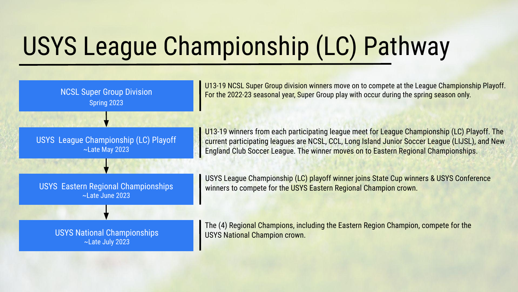# USYS League Championship (LC) Pathway

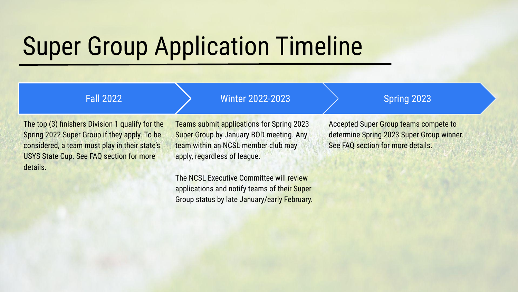# Super Group Application Timeline

#### Fall 2022

#### Winter 2022-2023

The top (3) finishers Division 1 qualify for the Spring 2022 Super Group if they apply. To be considered, a team must play in their state's USYS State Cup. See FAQ section for more details.

Teams submit applications for Spring 2023 Super Group by January BOD meeting. Any team within an NCSL member club may apply, regardless of league.

The NCSL Executive Committee will review applications and notify teams of their Super Group status by late January/early February.

### Spring 2023

Accepted Super Group teams compete to determine Spring 2023 Super Group winner. See FAQ section for more details.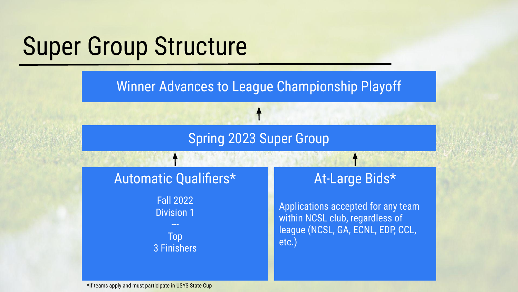## Super Group Structure

Winner Advances to League Championship Playoff

## Spring 2023 Super Group

## Automatic Qualifiers\* At-Large Bids\*

Fall 2022 Division 1

Top 3 Finishers

Applications accepted for any team within NCSL club, regardless of league (NCSL, GA, ECNL, EDP, CCL, etc.)

\*If teams apply and must participate in USYS State Cup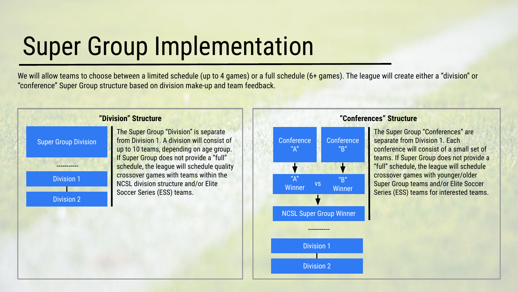# Super Group Implementation

We will allow teams to choose between a limited schedule (up to 4 games) or a full schedule (6+ games). The league will create either a "division" or "conference" Super Group structure based on division make-up and team feedback.



 from Division 1. A division will consist of The Super Group "Division" is separate up to 10 teams, depending on age group. If Super Group does not provide a "full" schedule, the league will schedule quality crossover games with teams within the NCSL division structure and/or Elite Soccer Series (ESS) teams.



Division 1

Division 2

#### **"Conferences" Structure**

The Super Group "Conferences" are separate from Division 1. Each conference will consist of a small set of teams. If Super Group does not provide a "full" schedule, the league will schedule crossover games with younger/older Super Group teams and/or Elite Soccer Series (ESS) teams for interested teams.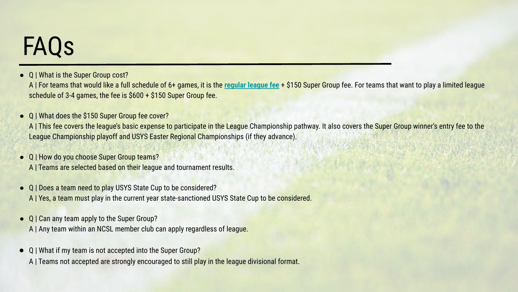## FAQs

**●** Q | What is the Super Group cost?

A | For teams that would like a full schedule of 6+ games, it is the **[regular league fee](http://ncsl-soccer.com/league-fees)** + \$150 Super Group fee. For teams that want to play a limited league schedule of 3-4 games, the fee is \$600 + \$150 Super Group fee.

● Q | What does the \$150 Super Group fee cover?

A | This fee covers the league's basic expense to participate in the League Championship pathway. It also covers the Super Group winner's entry fee to the League Championship playoff and USYS Easter Regional Championships (if they advance).

- **●** Q | How do you choose Super Group teams?
	- A | Teams are selected based on their league and tournament results.
- **●** Q | Does a team need to play USYS State Cup to be considered? A | Yes, a team must play in the current year state-sanctioned USYS State Cup to be considered.
- **●** Q | Can any team apply to the Super Group? A | Any team within an NCSL member club can apply regardless of league.
- **●** Q | What if my team is not accepted into the Super Group?

A | Teams not accepted are strongly encouraged to still play in the league divisional format.